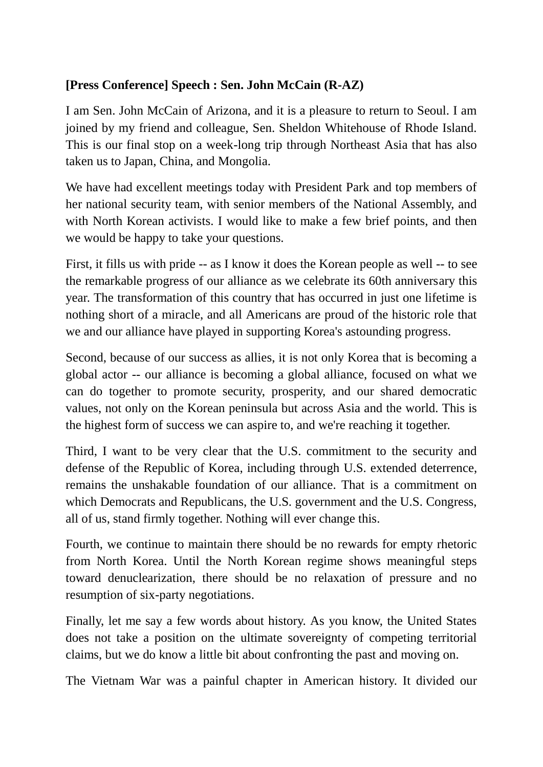## **[Press Conference] Speech : Sen. John McCain (R-AZ)**

I am Sen. John McCain of Arizona, and it is a pleasure to return to Seoul. I am joined by my friend and colleague, Sen. Sheldon Whitehouse of Rhode Island. This is our final stop on a week-long trip through Northeast Asia that has also taken us to Japan, China, and Mongolia.

We have had excellent meetings today with President Park and top members of her national security team, with senior members of the National Assembly, and with North Korean activists. I would like to make a few brief points, and then we would be happy to take your questions.

First, it fills us with pride -- as I know it does the Korean people as well -- to see the remarkable progress of our alliance as we celebrate its 60th anniversary this year. The transformation of this country that has occurred in just one lifetime is nothing short of a miracle, and all Americans are proud of the historic role that we and our alliance have played in supporting Korea's astounding progress.

Second, because of our success as allies, it is not only Korea that is becoming a global actor -- our alliance is becoming a global alliance, focused on what we can do together to promote security, prosperity, and our shared democratic values, not only on the Korean peninsula but across Asia and the world. This is the highest form of success we can aspire to, and we're reaching it together.

Third, I want to be very clear that the U.S. commitment to the security and defense of the Republic of Korea, including through U.S. extended deterrence, remains the unshakable foundation of our alliance. That is a commitment on which Democrats and Republicans, the U.S. government and the U.S. Congress, all of us, stand firmly together. Nothing will ever change this.

Fourth, we continue to maintain there should be no rewards for empty rhetoric from North Korea. Until the North Korean regime shows meaningful steps toward denuclearization, there should be no relaxation of pressure and no resumption of six-party negotiations.

Finally, let me say a few words about history. As you know, the United States does not take a position on the ultimate sovereignty of competing territorial claims, but we do know a little bit about confronting the past and moving on.

The Vietnam War was a painful chapter in American history. It divided our